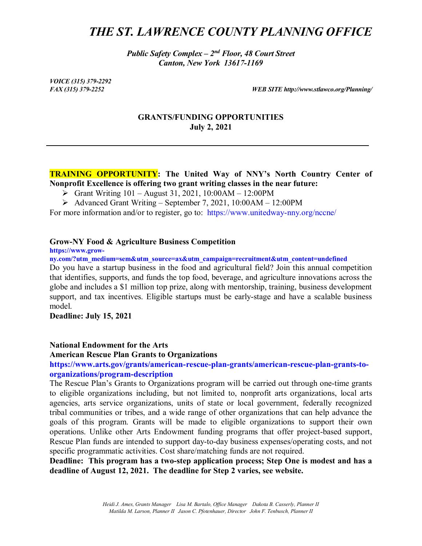# *THE ST. LAWRENCE COUNTY PLANNING OFFICE*

*Public Safety Complex – 2nd Floor, 48 Court Street Canton, New York 13617-1169*

*VOICE (315) 379-2292*

*FAX (315) 379-2252 WEB SITE http://www.stlawco.org/Planning/*

## **GRANTS/FUNDING OPPORTUNITIES July 2, 2021**

## **TRAINING OPPORTUNITY: The United Way of NNY's North Country Center of Nonprofit Excellence is offering two grant writing classes in the near future:**

- [Grant Writing 101](https://protect-us.mimecast.com/s/ulj5C5yEKZUkGrvC2SA7e?domain=unitedway-nny.org/) August 31, 2021, 10:00AM 12:00PM
- $\triangleright$  [Advanced Grant Writing](https://protect-us.mimecast.com/s/6yYKC687K1hLK4DUxq3oZ?domain=unitedway-nny.org/) September 7, 2021, 10:00AM 12:00PM

For more information and/or to register, go to: https://www.unitedway-nny.org/nccne/

#### **Grow-NY Food & Agriculture Business Competition**

**https://www.grow-**

**ny.com/?utm\_medium=sem&utm\_source=ax&utm\_campaign=recruitment&utm\_content=undefined**

Do you have a startup business in the food and agricultural field? Join this annual competition that identifies, supports, and funds the top food, beverage, and agriculture innovations across the globe and includes a \$1 million top prize, along with mentorship, training, business development support, and tax incentives. Eligible startups must be early-stage and have a scalable business model.

**Deadline: July 15, 2021**

#### **National Endowment for the Arts**

**American Rescue Plan Grants to Organizations**

**https://www.arts.gov/grants/american-rescue-plan-grants/american-rescue-plan-grants-toorganizations/program-description**

The Rescue Plan's Grants to Organizations program will be carried out through one-time grants to eligible organizations including, but not limited to, nonprofit arts organizations, local arts agencies, arts service organizations, units of state or local government, federally recognized tribal communities or tribes, and a wide range of other organizations that can help advance the goals of this program. Grants will be made to eligible organizations to support their own operations. Unlike other Arts Endowment funding programs that offer project-based support, Rescue Plan funds are intended to support day-to-day business expenses/operating costs, and not specific programmatic activities. Cost share/matching funds are not required.

**Deadline: This program has a two-step application process; Step One is modest and has a deadline of August 12, 2021. The deadline for Step 2 varies, see website.**